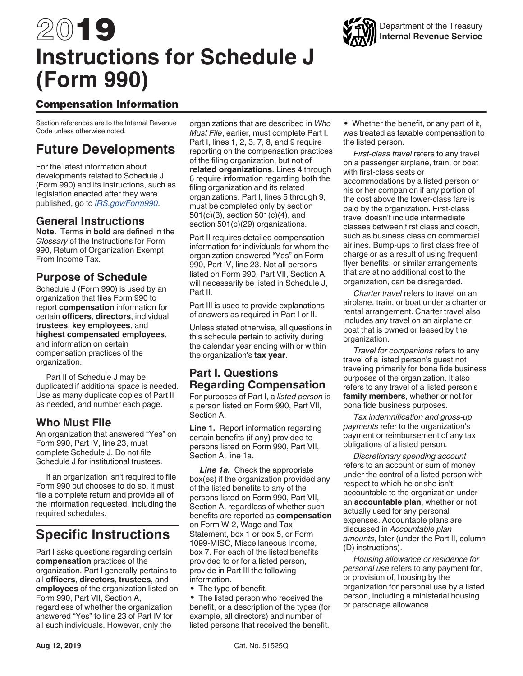# 2019 **Instructions for Schedule J (Form 990)**

#### Compensation Information

Section references are to the Internal Revenue Code unless otherwise noted.

### **Future Developments**

For the latest information about developments related to Schedule J (Form 990) and its instructions, such as legislation enacted after they were published, go to *[IRS.gov/Form990](https://www.irs.gov/form990)*.

#### **General Instructions**

**Note.** Terms in **bold** are defined in the *Glossary* of the Instructions for Form 990, Return of Organization Exempt From Income Tax.

#### **Purpose of Schedule**

Schedule J (Form 990) is used by an organization that files Form 990 to report **compensation** information for certain **officers**, **directors**, individual **trustees**, **key employees**, and **highest compensated employees**, and information on certain compensation practices of the organization.

Part II of Schedule J may be duplicated if additional space is needed. Use as many duplicate copies of Part II as needed, and number each page.

#### **Who Must File**

An organization that answered "Yes" on Form 990, Part IV, line 23, must complete Schedule J. Do not file Schedule J for institutional trustees.

If an organization isn't required to file Form 990 but chooses to do so, it must file a complete return and provide all of the information requested, including the required schedules.

## **Specific Instructions**

Part I asks questions regarding certain **compensation** practices of the organization. Part I generally pertains to all **officers**, **directors**, **trustees**, and **employees** of the organization listed on Form 990, Part VII, Section A, regardless of whether the organization answered "Yes" to line 23 of Part IV for all such individuals. However, only the

organizations that are described in *Who Must File*, earlier, must complete Part I. Part I, lines 1, 2, 3, 7, 8, and 9 require reporting on the compensation practices of the filing organization, but not of **related organizations**. Lines 4 through 6 require information regarding both the filing organization and its related organizations. Part I, lines 5 through 9, must be completed only by section 501(c)(3), section 501(c)(4), and section 501(c)(29) organizations.

Part II requires detailed compensation information for individuals for whom the organization answered "Yes" on Form 990, Part IV, line 23. Not all persons listed on Form 990, Part VII, Section A, will necessarily be listed in Schedule J, Part II.

Part III is used to provide explanations of answers as required in Part I or II.

Unless stated otherwise, all questions in this schedule pertain to activity during the calendar year ending with or within the organization's **tax year**.

#### **Part I. Questions Regarding Compensation**

For purposes of Part I, a *listed person* is a person listed on Form 990, Part VII, Section A.

**Line 1.** Report information regarding certain benefits (if any) provided to persons listed on Form 990, Part VII, Section A, line 1a.

*Line 1a.* Check the appropriate box(es) if the organization provided any of the listed benefits to any of the persons listed on Form 990, Part VII, Section A, regardless of whether such benefits are reported as **compensation**  on Form W-2, Wage and Tax Statement, box 1 or box 5, or Form 1099-MISC, Miscellaneous Income, box 7. For each of the listed benefits provided to or for a listed person, provide in Part III the following information.

• The type of benefit.

• The listed person who received the benefit, or a description of the types (for example, all directors) and number of listed persons that received the benefit.

• Whether the benefit, or any part of it. was treated as taxable compensation to the listed person.

*First-class travel* refers to any travel on a passenger airplane, train, or boat with first-class seats or accommodations by a listed person or his or her companion if any portion of the cost above the lower-class fare is paid by the organization. First-class travel doesn't include intermediate classes between first class and coach, such as business class on commercial airlines. Bump-ups to first class free of charge or as a result of using frequent flyer benefits, or similar arrangements that are at no additional cost to the organization, can be disregarded.

*Charter travel* refers to travel on an airplane, train, or boat under a charter or rental arrangement. Charter travel also includes any travel on an airplane or boat that is owned or leased by the organization.

*Travel for companions* refers to any travel of a listed person's guest not traveling primarily for bona fide business purposes of the organization. It also refers to any travel of a listed person's **family members**, whether or not for bona fide business purposes.

*Tax indemnification and gross-up payments* refer to the organization's payment or reimbursement of any tax obligations of a listed person.

*Discretionary spending account*  refers to an account or sum of money under the control of a listed person with respect to which he or she isn't accountable to the organization under an **accountable plan**, whether or not actually used for any personal expenses. Accountable plans are discussed in *Accountable plan amounts*, later (under the Part II, column (D) instructions).

*Housing allowance or residence for personal use* refers to any payment for, or provision of, housing by the organization for personal use by a listed person, including a ministerial housing or parsonage allowance.

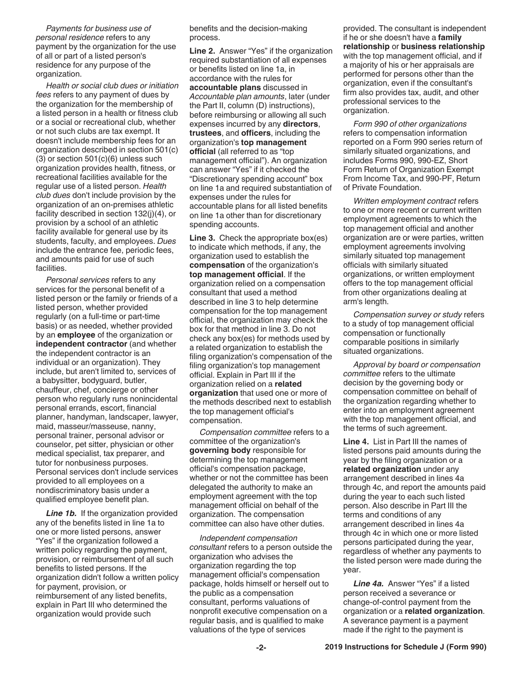*Payments for business use of personal residence* refers to any payment by the organization for the use of all or part of a listed person's residence for any purpose of the organization.

*Health or social club dues or initiation fees* refers to any payment of dues by the organization for the membership of a listed person in a health or fitness club or a social or recreational club, whether or not such clubs are tax exempt. It doesn't include membership fees for an organization described in section 501(c)  $(3)$  or section 501 $(c)(6)$  unless such organization provides health, fitness, or recreational facilities available for the regular use of a listed person. *Health club dues* don't include provision by the organization of an on-premises athletic facility described in section 132(j)(4), or provision by a school of an athletic facility available for general use by its students, faculty, and employees. *Dues*  include the entrance fee, periodic fees, and amounts paid for use of such facilities.

*Personal services* refers to any services for the personal benefit of a listed person or the family or friends of a listed person, whether provided regularly (on a full-time or part-time basis) or as needed, whether provided by an **employee** of the organization or **independent contractor** (and whether the independent contractor is an individual or an organization). They include, but aren't limited to, services of a babysitter, bodyguard, butler, chauffeur, chef, concierge or other person who regularly runs nonincidental personal errands, escort, financial planner, handyman, landscaper, lawyer, maid, masseur/masseuse, nanny, personal trainer, personal advisor or counselor, pet sitter, physician or other medical specialist, tax preparer, and tutor for nonbusiness purposes. Personal services don't include services provided to all employees on a nondiscriminatory basis under a qualified employee benefit plan.

**Line 1b.** If the organization provided any of the benefits listed in line 1a to one or more listed persons, answer "Yes" if the organization followed a written policy regarding the payment, provision, or reimbursement of all such benefits to listed persons. If the organization didn't follow a written policy for payment, provision, or reimbursement of any listed benefits, explain in Part III who determined the organization would provide such

benefits and the decision-making process.

**Line 2.** Answer "Yes" if the organization required substantiation of all expenses or benefits listed on line 1a, in accordance with the rules for **accountable plans** discussed in *Accountable plan amounts*, later (under the Part II, column (D) instructions), before reimbursing or allowing all such expenses incurred by any **directors**, **trustees**, and **officers**, including the organization's **top management official** (all referred to as "top management official"). An organization can answer "Yes" if it checked the "Discretionary spending account" box on line 1a and required substantiation of expenses under the rules for accountable plans for all listed benefits on line 1a other than for discretionary spending accounts.

**Line 3.** Check the appropriate box(es) to indicate which methods, if any, the organization used to establish the **compensation** of the organization's **top management official**. If the organization relied on a compensation consultant that used a method described in line 3 to help determine compensation for the top management official, the organization may check the box for that method in line 3. Do not check any box(es) for methods used by a related organization to establish the filing organization's compensation of the filing organization's top management official. Explain in Part III if the organization relied on a **related organization** that used one or more of the methods described next to establish the top management official's compensation.

*Compensation committee* refers to a committee of the organization's **governing body** responsible for determining the top management official's compensation package, whether or not the committee has been delegated the authority to make an employment agreement with the top management official on behalf of the organization. The compensation committee can also have other duties.

*Independent compensation consultant* refers to a person outside the organization who advises the organization regarding the top management official's compensation package, holds himself or herself out to the public as a compensation consultant, performs valuations of nonprofit executive compensation on a regular basis, and is qualified to make valuations of the type of services

provided. The consultant is independent if he or she doesn't have a **family relationship** or **business relationship**  with the top management official, and if a majority of his or her appraisals are performed for persons other than the organization, even if the consultant's firm also provides tax, audit, and other professional services to the organization.

*Form 990 of other organizations*  refers to compensation information reported on a Form 990 series return of similarly situated organizations, and includes Forms 990, 990-EZ, Short Form Return of Organization Exempt From Income Tax, and 990-PF, Return of Private Foundation.

*Written employment contract* refers to one or more recent or current written employment agreements to which the top management official and another organization are or were parties, written employment agreements involving similarly situated top management officials with similarly situated organizations, or written employment offers to the top management official from other organizations dealing at arm's length.

*Compensation survey or study* refers to a study of top management official compensation or functionally comparable positions in similarly situated organizations.

*Approval by board or compensation committee* refers to the ultimate decision by the governing body or compensation committee on behalf of the organization regarding whether to enter into an employment agreement with the top management official, and the terms of such agreement.

**Line 4.** List in Part III the names of listed persons paid amounts during the year by the filing organization or a **related organization** under any arrangement described in lines 4a through 4c, and report the amounts paid during the year to each such listed person. Also describe in Part III the terms and conditions of any arrangement described in lines 4a through 4c in which one or more listed persons participated during the year, regardless of whether any payments to the listed person were made during the year.

*Line 4a.* Answer "Yes" if a listed person received a severance or change-of-control payment from the organization or a **related organization**. A severance payment is a payment made if the right to the payment is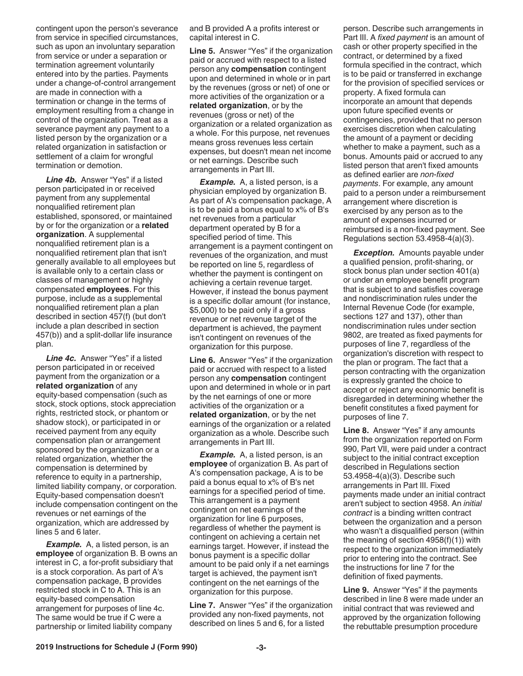contingent upon the person's severance from service in specified circumstances, such as upon an involuntary separation from service or under a separation or termination agreement voluntarily entered into by the parties. Payments under a change-of-control arrangement are made in connection with a termination or change in the terms of employment resulting from a change in control of the organization. Treat as a severance payment any payment to a listed person by the organization or a related organization in satisfaction or settlement of a claim for wrongful termination or demotion.

*Line 4b.* Answer "Yes" if a listed person participated in or received payment from any supplemental nonqualified retirement plan established, sponsored, or maintained by or for the organization or a **related organization**. A supplemental nonqualified retirement plan is a nonqualified retirement plan that isn't generally available to all employees but is available only to a certain class or classes of management or highly compensated **employees**. For this purpose, include as a supplemental nonqualified retirement plan a plan described in section 457(f) (but don't include a plan described in section 457(b)) and a split-dollar life insurance plan.

*Line 4c.* Answer "Yes" if a listed person participated in or received payment from the organization or a **related organization** of any equity-based compensation (such as stock, stock options, stock appreciation rights, restricted stock, or phantom or shadow stock), or participated in or received payment from any equity compensation plan or arrangement sponsored by the organization or a related organization, whether the compensation is determined by reference to equity in a partnership, limited liability company, or corporation. Equity-based compensation doesn't include compensation contingent on the revenues or net earnings of the organization, which are addressed by lines 5 and 6 later.

**Example.** A, a listed person, is an **employee** of organization B. B owns an interest in C, a for-profit subsidiary that is a stock corporation. As part of A's compensation package, B provides restricted stock in C to A. This is an equity-based compensation arrangement for purposes of line 4c. The same would be true if C were a partnership or limited liability company

and B provided A a profits interest or capital interest in C.

**Line 5.** Answer "Yes" if the organization paid or accrued with respect to a listed person any **compensation** contingent upon and determined in whole or in part by the revenues (gross or net) of one or more activities of the organization or a **related organization**, or by the revenues (gross or net) of the organization or a related organization as a whole. For this purpose, net revenues means gross revenues less certain expenses, but doesn't mean net income or net earnings. Describe such arrangements in Part III.

*Example.* A, a listed person, is a physician employed by organization B. As part of A's compensation package, A is to be paid a bonus equal to  $x\%$  of B's net revenues from a particular department operated by B for a specified period of time. This arrangement is a payment contingent on revenues of the organization, and must be reported on line 5, regardless of whether the payment is contingent on achieving a certain revenue target. However, if instead the bonus payment is a specific dollar amount (for instance, \$5,000) to be paid only if a gross revenue or net revenue target of the department is achieved, the payment isn't contingent on revenues of the organization for this purpose.

**Line 6.** Answer "Yes" if the organization paid or accrued with respect to a listed person any **compensation** contingent upon and determined in whole or in part by the net earnings of one or more activities of the organization or a **related organization**, or by the net earnings of the organization or a related organization as a whole. Describe such arrangements in Part III.

*Example.* A, a listed person, is an **employee** of organization B. As part of A's compensation package, A is to be paid a bonus equal to x% of B's net earnings for a specified period of time. This arrangement is a payment contingent on net earnings of the organization for line 6 purposes, regardless of whether the payment is contingent on achieving a certain net earnings target. However, if instead the bonus payment is a specific dollar amount to be paid only if a net earnings target is achieved, the payment isn't contingent on the net earnings of the organization for this purpose.

**Line 7.** Answer "Yes" if the organization provided any non-fixed payments, not described on lines 5 and 6, for a listed

person. Describe such arrangements in Part III. A *fixed payment* is an amount of cash or other property specified in the contract, or determined by a fixed formula specified in the contract, which is to be paid or transferred in exchange for the provision of specified services or property. A fixed formula can incorporate an amount that depends upon future specified events or contingencies, provided that no person exercises discretion when calculating the amount of a payment or deciding whether to make a payment, such as a bonus. Amounts paid or accrued to any listed person that aren't fixed amounts as defined earlier are *non-fixed payments*. For example, any amount paid to a person under a reimbursement arrangement where discretion is exercised by any person as to the amount of expenses incurred or reimbursed is a non-fixed payment. See Regulations section 53.4958-4(a)(3).

**Exception.** Amounts payable under a qualified pension, profit-sharing, or stock bonus plan under section 401(a) or under an employee benefit program that is subject to and satisfies coverage and nondiscrimination rules under the Internal Revenue Code (for example, sections 127 and 137), other than nondiscrimination rules under section 9802, are treated as fixed payments for purposes of line 7, regardless of the organization's discretion with respect to the plan or program. The fact that a person contracting with the organization is expressly granted the choice to accept or reject any economic benefit is disregarded in determining whether the benefit constitutes a fixed payment for purposes of line 7.

**Line 8.** Answer "Yes" if any amounts from the organization reported on Form 990, Part VII, were paid under a contract subject to the initial contract exception described in Regulations section 53.4958-4(a)(3). Describe such arrangements in Part III. Fixed payments made under an initial contract aren't subject to section 4958. An *initial contract* is a binding written contract between the organization and a person who wasn't a disqualified person (within the meaning of section 4958(f)(1)) with respect to the organization immediately prior to entering into the contract. See the instructions for line 7 for the definition of fixed payments.

**Line 9.** Answer "Yes" if the payments described in line 8 were made under an initial contract that was reviewed and approved by the organization following the rebuttable presumption procedure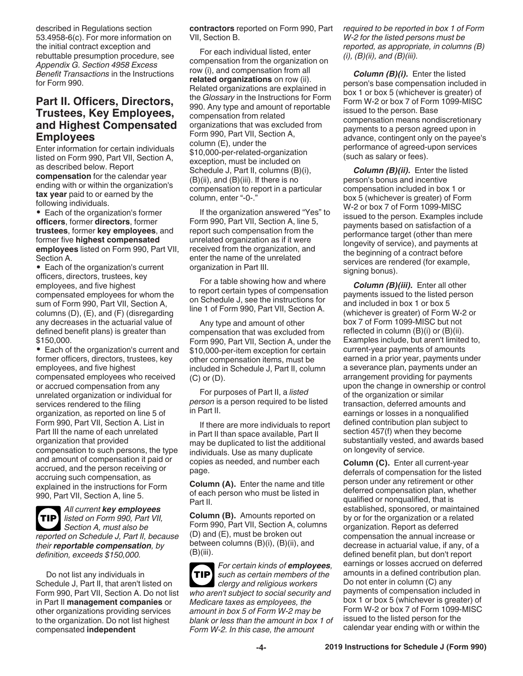described in Regulations section 53.4958-6(c). For more information on the initial contract exception and rebuttable presumption procedure, see *Appendix G. Section 4958 Excess Benefit Transactions* in the Instructions for Form 990.

#### **Part II. Officers, Directors, Trustees, Key Employees, and Highest Compensated Employees**

Enter information for certain individuals listed on Form 990, Part VII, Section A, as described below. Report **compensation** for the calendar year ending with or within the organization's **tax year** paid to or earned by the following individuals.

• Each of the organization's former **officers**, former **directors**, former **trustees**, former **key employees**, and former five **highest compensated employees** listed on Form 990, Part VII, Section A.

• Each of the organization's current officers, directors, trustees, key employees, and five highest compensated employees for whom the sum of Form 990, Part VII, Section A, columns (D), (E), and (F) (disregarding any decreases in the actuarial value of defined benefit plans) is greater than \$150,000.

• Each of the organization's current and former officers, directors, trustees, key employees, and five highest compensated employees who received or accrued compensation from any unrelated organization or individual for services rendered to the filing organization, as reported on line 5 of Form 990, Part VII, Section A. List in Part III the name of each unrelated organization that provided compensation to such persons, the type and amount of compensation it paid or accrued, and the person receiving or accruing such compensation, as explained in the instructions for Form 990, Part VII, Section A, line 5.



*All current key employees listed on Form 990, Part VII, Section A, must also be reported on Schedule J, Part II, because their reportable compensation, by definition, exceeds \$150,000.*

Do not list any individuals in Schedule J, Part II, that aren't listed on Form 990, Part VII, Section A. Do not list in Part II **management companies** or other organizations providing services to the organization. Do not list highest compensated **independent** 

**contractors** reported on Form 990, Part VII, Section B.

For each individual listed, enter compensation from the organization on row (i), and compensation from all **related organizations** on row (ii). Related organizations are explained in the *Glossary* in the Instructions for Form 990. Any type and amount of reportable compensation from related organizations that was excluded from Form 990, Part VII, Section A, column (E), under the \$10,000-per-related-organization exception, must be included on Schedule J, Part II, columns (B)(i), (B)(ii), and (B)(iii). If there is no compensation to report in a particular column, enter "-0-."

If the organization answered "Yes" to Form 990, Part VII, Section A, line 5, report such compensation from the unrelated organization as if it were received from the organization, and enter the name of the unrelated organization in Part III.

For a table showing how and where to report certain types of compensation on Schedule J, see the instructions for line 1 of Form 990, Part VII, Section A.

Any type and amount of other compensation that was excluded from Form 990, Part VII, Section A, under the \$10,000-per-item exception for certain other compensation items, must be included in Schedule J, Part II, column (C) or (D).

For purposes of Part II, a *listed person* is a person required to be listed in Part II.

If there are more individuals to report in Part II than space available, Part II may be duplicated to list the additional individuals. Use as many duplicate copies as needed, and number each page.

**Column (A).** Enter the name and title of each person who must be listed in Part II.

**Column (B).** Amounts reported on Form 990, Part VII, Section A, columns (D) and (E), must be broken out between columns (B)(i), (B)(ii), and (B)(iii).

*For certain kinds of employees, such as certain members of the clergy and religious workers who aren't subject to social security and Medicare taxes as employees, the amount in box 5 of Form W-2 may be blank or less than the amount in box 1 of Form W-2. In this case, the amount*  **TIP**

*required to be reported in box 1 of Form W-2 for the listed persons must be reported, as appropriate, in columns (B) (i), (B)(ii), and (B)(iii).*

*Column (B)(i).* Enter the listed person's base compensation included in box 1 or box 5 (whichever is greater) of Form W-2 or box 7 of Form 1099-MISC issued to the person. Base compensation means nondiscretionary payments to a person agreed upon in advance, contingent only on the payee's performance of agreed-upon services (such as salary or fees).

*Column (B)(ii).* Enter the listed person's bonus and incentive compensation included in box 1 or box 5 (whichever is greater) of Form W-2 or box 7 of Form 1099-MISC issued to the person. Examples include payments based on satisfaction of a performance target (other than mere longevity of service), and payments at the beginning of a contract before services are rendered (for example, signing bonus).

*Column (B)(iii).* Enter all other payments issued to the listed person and included in box 1 or box 5 (whichever is greater) of Form W-2 or box 7 of Form 1099-MISC but not reflected in column (B)(i) or (B)(ii). Examples include, but aren't limited to, current-year payments of amounts earned in a prior year, payments under a severance plan, payments under an arrangement providing for payments upon the change in ownership or control of the organization or similar transaction, deferred amounts and earnings or losses in a nonqualified defined contribution plan subject to section 457(f) when they become substantially vested, and awards based on longevity of service.

**Column (C).** Enter all current-year deferrals of compensation for the listed person under any retirement or other deferred compensation plan, whether qualified or nonqualified, that is established, sponsored, or maintained by or for the organization or a related organization. Report as deferred compensation the annual increase or decrease in actuarial value, if any, of a defined benefit plan, but don't report earnings or losses accrued on deferred amounts in a defined contribution plan. Do not enter in column (C) any payments of compensation included in box 1 or box 5 (whichever is greater) of Form W-2 or box 7 of Form 1099-MISC issued to the listed person for the calendar year ending with or within the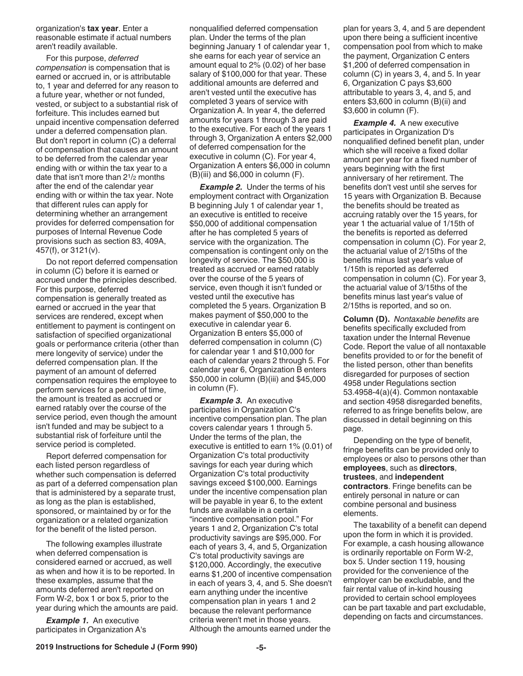organization's **tax year**. Enter a reasonable estimate if actual numbers aren't readily available.

For this purpose, *deferred compensation* is compensation that is earned or accrued in, or is attributable to, 1 year and deferred for any reason to a future year, whether or not funded, vested, or subject to a substantial risk of forfeiture. This includes earned but unpaid incentive compensation deferred under a deferred compensation plan. But don't report in column (C) a deferral of compensation that causes an amount to be deferred from the calendar year ending with or within the tax year to a date that isn't more than 21/2 months after the end of the calendar year ending with or within the tax year. Note that different rules can apply for determining whether an arrangement provides for deferred compensation for purposes of Internal Revenue Code provisions such as section 83, 409A, 457(f), or 3121(v).

Do not report deferred compensation in column (C) before it is earned or accrued under the principles described. For this purpose, deferred compensation is generally treated as earned or accrued in the year that services are rendered, except when entitlement to payment is contingent on satisfaction of specified organizational goals or performance criteria (other than mere longevity of service) under the deferred compensation plan. If the payment of an amount of deferred compensation requires the employee to perform services for a period of time, the amount is treated as accrued or earned ratably over the course of the service period, even though the amount isn't funded and may be subject to a substantial risk of forfeiture until the service period is completed.

Report deferred compensation for each listed person regardless of whether such compensation is deferred as part of a deferred compensation plan that is administered by a separate trust, as long as the plan is established, sponsored, or maintained by or for the organization or a related organization for the benefit of the listed person.

The following examples illustrate when deferred compensation is considered earned or accrued, as well as when and how it is to be reported. In these examples, assume that the amounts deferred aren't reported on Form W-2, box 1 or box 5, prior to the year during which the amounts are paid.

**Example 1.** An executive participates in Organization A's nonqualified deferred compensation plan. Under the terms of the plan beginning January 1 of calendar year 1, she earns for each year of service an amount equal to 2% (0.02) of her base salary of \$100,000 for that year. These additional amounts are deferred and aren't vested until the executive has completed 3 years of service with Organization A. In year 4, the deferred amounts for years 1 through 3 are paid to the executive. For each of the years 1 through 3, Organization A enters \$2,000 of deferred compensation for the executive in column (C). For year 4, Organization A enters \$6,000 in column (B)(iii) and \$6,000 in column (F).

**Example 2.** Under the terms of his employment contract with Organization B beginning July 1 of calendar year 1, an executive is entitled to receive \$50,000 of additional compensation after he has completed 5 years of service with the organization. The compensation is contingent only on the longevity of service. The \$50,000 is treated as accrued or earned ratably over the course of the 5 years of service, even though it isn't funded or vested until the executive has completed the 5 years. Organization B makes payment of \$50,000 to the executive in calendar year 6. Organization B enters \$5,000 of deferred compensation in column (C) for calendar year 1 and \$10,000 for each of calendar years 2 through 5. For calendar year 6, Organization B enters \$50,000 in column (B)(iii) and \$45,000 in column (F).

**Example 3.** An executive participates in Organization C's incentive compensation plan. The plan covers calendar years 1 through 5. Under the terms of the plan, the executive is entitled to earn 1% (0.01) of Organization C's total productivity savings for each year during which Organization C's total productivity savings exceed \$100,000. Earnings under the incentive compensation plan will be payable in year 6, to the extent funds are available in a certain "incentive compensation pool." For years 1 and 2, Organization C's total productivity savings are \$95,000. For each of years 3, 4, and 5, Organization C's total productivity savings are \$120,000. Accordingly, the executive earns \$1,200 of incentive compensation in each of years 3, 4, and 5. She doesn't earn anything under the incentive compensation plan in years 1 and 2 because the relevant performance criteria weren't met in those years. Although the amounts earned under the

plan for years 3, 4, and 5 are dependent upon there being a sufficient incentive compensation pool from which to make the payment, Organization C enters \$1,200 of deferred compensation in column (C) in years 3, 4, and 5. In year 6, Organization C pays \$3,600 attributable to years 3, 4, and 5, and enters \$3,600 in column (B)(ii) and \$3,600 in column (F).

**Example 4.** A new executive participates in Organization D's nonqualified defined benefit plan, under which she will receive a fixed dollar amount per year for a fixed number of years beginning with the first anniversary of her retirement. The benefits don't vest until she serves for 15 years with Organization B. Because the benefits should be treated as accruing ratably over the 15 years, for year 1 the actuarial value of 1/15th of the benefits is reported as deferred compensation in column (C). For year 2, the actuarial value of 2/15ths of the benefits minus last year's value of 1/15th is reported as deferred compensation in column (C). For year 3, the actuarial value of 3/15ths of the benefits minus last year's value of 2/15ths is reported, and so on.

**Column (D).** *Nontaxable benefits* are benefits specifically excluded from taxation under the Internal Revenue Code. Report the value of all nontaxable benefits provided to or for the benefit of the listed person, other than benefits disregarded for purposes of section 4958 under Regulations section 53.4958-4(a)(4). Common nontaxable and section 4958 disregarded benefits, referred to as fringe benefits below, are discussed in detail beginning on this page.

Depending on the type of benefit, fringe benefits can be provided only to employees or also to persons other than **employees**, such as **directors**, **trustees**, and **independent contractors**. Fringe benefits can be entirely personal in nature or can combine personal and business elements.

The taxability of a benefit can depend upon the form in which it is provided. For example, a cash housing allowance is ordinarily reportable on Form W-2, box 5. Under section 119, housing provided for the convenience of the employer can be excludable, and the fair rental value of in-kind housing provided to certain school employees can be part taxable and part excludable, depending on facts and circumstances.